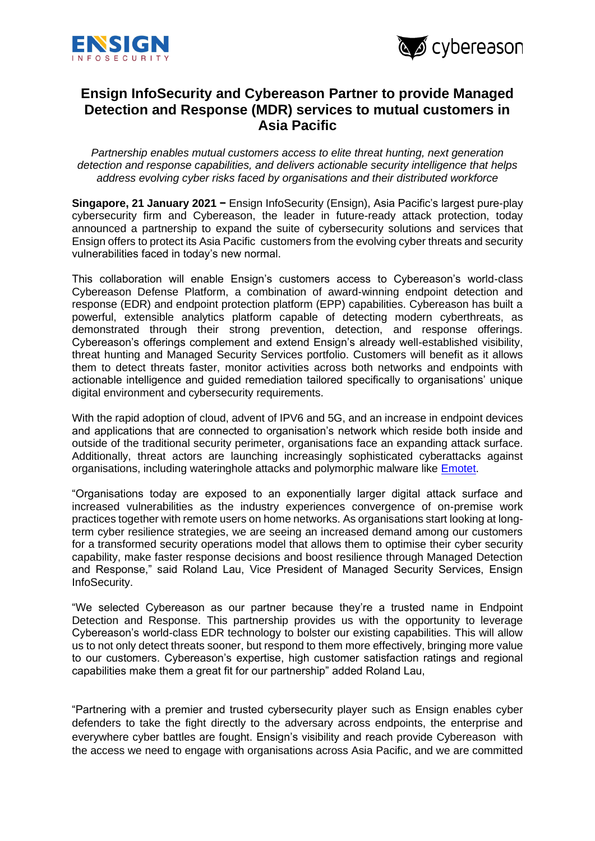



## **Ensign InfoSecurity and Cybereason Partner to provide Managed Detection and Response (MDR) services to mutual customers in Asia Pacific**

*Partnership enables mutual customers access to elite threat hunting, next generation detection and response capabilities, and delivers actionable security intelligence that helps address evolving cyber risks faced by organisations and their distributed workforce* 

**Singapore, 21 January 2021 −** Ensign InfoSecurity (Ensign), Asia Pacific's largest pure-play cybersecurity firm and Cybereason, the leader in future-ready attack protection, today announced a partnership to expand the suite of cybersecurity solutions and services that Ensign offers to protect its Asia Pacific customers from the evolving cyber threats and security vulnerabilities faced in today's new normal.

This collaboration will enable Ensign's customers access to Cybereason's world-class Cybereason Defense Platform, a combination of award-winning endpoint detection and response (EDR) and endpoint protection platform (EPP) capabilities. Cybereason has built a powerful, extensible analytics platform capable of detecting modern cyberthreats, as demonstrated through their strong prevention, detection, and response offerings. Cybereason's offerings complement and extend Ensign's already well-established visibility, threat hunting and Managed Security Services portfolio. Customers will benefit as it allows them to detect threats faster, monitor activities across both networks and endpoints with actionable intelligence and guided remediation tailored specifically to organisations' unique digital environment and cybersecurity requirements.

With the rapid adoption of cloud, advent of IPV6 and 5G, and an increase in endpoint devices and applications that are connected to organisation's network which reside both inside and outside of the traditional security perimeter, organisations face an expanding attack surface. Additionally, threat actors are launching increasingly sophisticated cyberattacks against organisations, including wateringhole attacks and polymorphic malware like [Emotet.](https://www.ensigninfosecurity.com/docs/default-source/newsrooms/emotet-infographics.pdf?sfvrsn=993189a4_2)

"Organisations today are exposed to an exponentially larger digital attack surface and increased vulnerabilities as the industry experiences convergence of on-premise work practices together with remote users on home networks. As organisations start looking at longterm cyber resilience strategies, we are seeing an increased demand among our customers for a transformed security operations model that allows them to optimise their cyber security capability, make faster response decisions and boost resilience through Managed Detection and Response," said Roland Lau, Vice President of Managed Security Services, Ensign InfoSecurity.

"We selected Cybereason as our partner because they're a trusted name in Endpoint Detection and Response. This partnership provides us with the opportunity to leverage Cybereason's world-class EDR technology to bolster our existing capabilities. This will allow us to not only detect threats sooner, but respond to them more effectively, bringing more value to our customers. Cybereason's expertise, high customer satisfaction ratings and regional capabilities make them a great fit for our partnership" added Roland Lau,

"Partnering with a premier and trusted cybersecurity player such as Ensign enables cyber defenders to take the fight directly to the adversary across endpoints, the enterprise and everywhere cyber battles are fought. Ensign's visibility and reach provide Cybereason with the access we need to engage with organisations across Asia Pacific, and we are committed